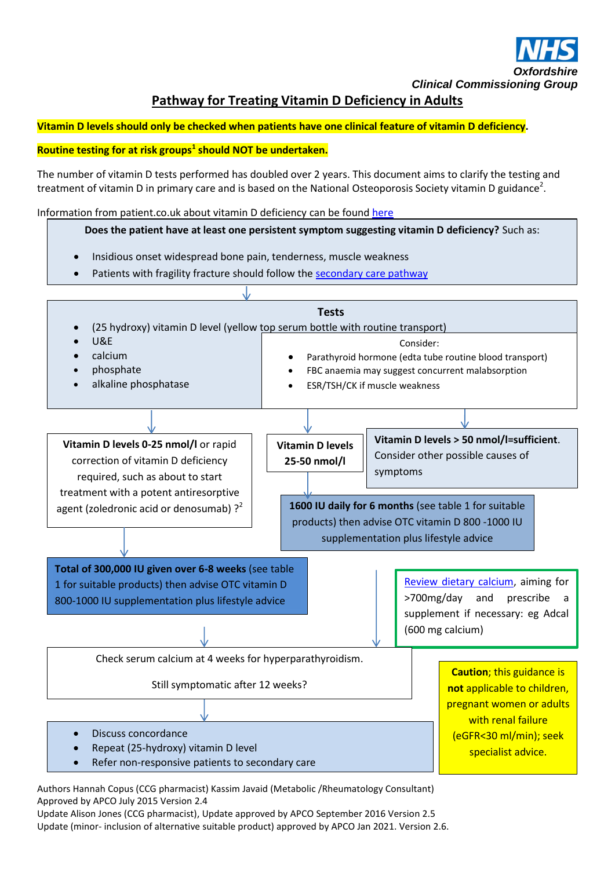

**Pathway for Treating Vitamin D Deficiency in Adults**

# **Vitamin D levels should only be checked when patients have one clinical feature of vitamin D deficiency.**

# **Routine testing for at risk groups<sup>1</sup> should NOT be undertaken.**

The number of vitamin D tests performed has doubled over 2 years. This document aims to clarify the testing and treatment of vitamin D in primary care and is based on the National Osteoporosis Society vitamin D guidance<sup>2</sup>.

Information from patient.co.uk about vitamin D deficiency can be found [here](http://patient.info/health/vitamin-d-deficiency-including-osteomalacia-and-rickets-leaflet)

### **Does the patient have at least one persistent symptom suggesting vitamin D deficiency?** Such as:

- Insidious onset widespread bone pain, tenderness, muscle weakness
- Patients with fragility fracture should follow th[e secondary care pathway](http://occg.oxnet.nhs.uk/GeneralPractice/ClinicalGuidelines/MSK%20and%20Physio/Osteoporosis/v2%200%202014%20%20Secondary%20prevention%20of%20fragility%20fractures_CCG.pdf)



Authors Hannah Copus (CCG pharmacist) Kassim Javaid (Metabolic /Rheumatology Consultant) Approved by APCO July 2015 Version 2.4

Update Alison Jones (CCG pharmacist), Update approved by APCO September 2016 Version 2.5 Update (minor- inclusion of alternative suitable product) approved by APCO Jan 2021. Version 2.6.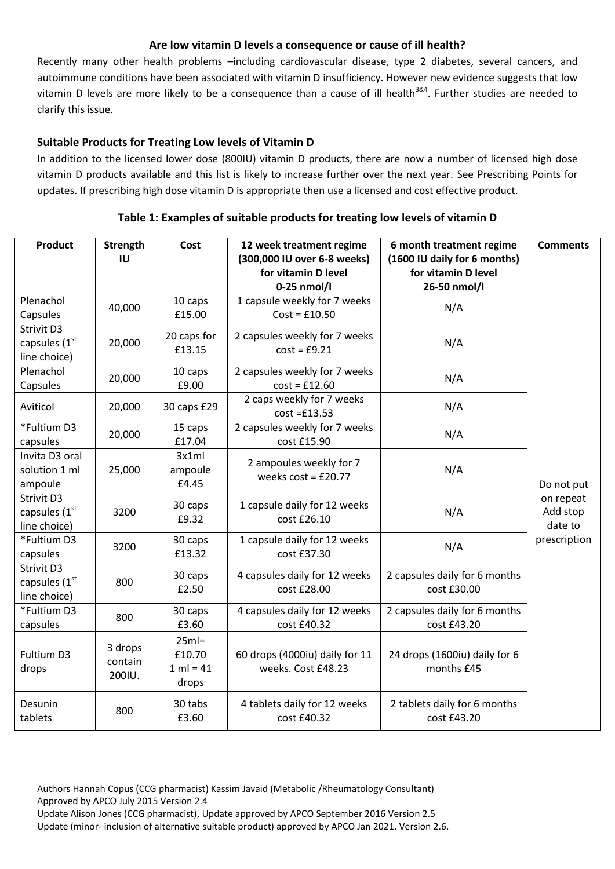### **Are low vitamin D levels a consequence or cause of ill health?**

Recently many other health problems –including cardiovascular disease, type 2 diabetes, several cancers, and autoimmune conditions have been associated with vitamin D insufficiency. However new evidence suggests that low vitamin D levels are more likely to be a consequence than a cause of ill health<sup>3&4</sup>. Further studies are needed to clarify this issue.

# **Suitable Products for Treating Low levels of Vitamin D**

In addition to the licensed lower dose (800IU) vitamin D products, there are now a number of licensed high dose vitamin D products available and this list is likely to increase further over the next year. See Prescribing Points for updates. If prescribing high dose vitamin D is appropriate then use a licensed and cost effective product.

| <b>Product</b>                                          | <b>Strength</b><br>IU        | Cost                                       | 12 week treatment regime<br>(300,000 IU over 6-8 weeks) | 6 month treatment regime<br>(1600 IU daily for 6 months) | <b>Comments</b>                  |
|---------------------------------------------------------|------------------------------|--------------------------------------------|---------------------------------------------------------|----------------------------------------------------------|----------------------------------|
|                                                         |                              |                                            | for vitamin D level<br>$0-25$ nmol/l                    | for vitamin D level<br>26-50 nmol/l                      |                                  |
| Plenachol<br>Capsules                                   | 40,000                       | 10 caps<br>£15.00                          | 1 capsule weekly for 7 weeks<br>$Cost = £10.50$         | N/A                                                      |                                  |
| Strivit D3<br>capsules (1st<br>line choice)             | 20,000                       | 20 caps for<br>£13.15                      | 2 capsules weekly for 7 weeks<br>$cost = £9.21$         | N/A                                                      |                                  |
| Plenachol<br>Capsules                                   | 20,000                       | 10 caps<br>£9.00                           | 2 capsules weekly for 7 weeks<br>$cost = £12.60$        | N/A                                                      |                                  |
| Aviticol                                                | 20,000                       | 30 caps £29                                | 2 caps weekly for 7 weeks<br>$cost = £13.53$            | N/A                                                      |                                  |
| *Fultium D3<br>capsules                                 | 20,000                       | 15 caps<br>£17.04                          | 2 capsules weekly for 7 weeks<br>cost £15.90            | N/A                                                      |                                  |
| Invita D3 oral<br>solution 1 ml<br>ampoule              | 25,000                       | 3x1ml<br>ampoule<br>£4.45                  | 2 ampoules weekly for 7<br>weeks $cost = £20.77$        | N/A                                                      | Do not put                       |
| Strivit D3<br>capsules (1st<br>line choice)             | 3200                         | 30 caps<br>£9.32                           | 1 capsule daily for 12 weeks<br>cost £26.10             | N/A                                                      | on repeat<br>Add stop<br>date to |
| *Fultium D3<br>capsules                                 | 3200                         | 30 caps<br>£13.32                          | 1 capsule daily for 12 weeks<br>cost £37.30             | N/A                                                      | prescription                     |
| Strivit D3<br>capsules (1 <sup>st</sup><br>line choice) | 800                          | 30 caps<br>£2.50                           | 4 capsules daily for 12 weeks<br>cost £28.00            | 2 capsules daily for 6 months<br>cost £30.00             |                                  |
| *Fultium D3<br>capsules                                 | 800                          | 30 caps<br>£3.60                           | 4 capsules daily for 12 weeks<br>cost £40.32            | 2 capsules daily for 6 months<br>cost £43.20             |                                  |
| Fultium D3<br>drops                                     | 3 drops<br>contain<br>200IU. | $25ml =$<br>£10.70<br>$1 ml = 41$<br>drops | 60 drops (4000iu) daily for 11<br>weeks. Cost £48.23    | 24 drops (1600iu) daily for 6<br>months £45              |                                  |
| Desunin<br>tablets                                      | 800                          | 30 tabs<br>£3.60                           | 4 tablets daily for 12 weeks<br>cost £40.32             | 2 tablets daily for 6 months<br>cost £43.20              |                                  |

#### **Table 1: Examples of suitable products for treating low levels of vitamin D**

Authors Hannah Copus (CCG pharmacist) Kassim Javaid (Metabolic /Rheumatology Consultant) Approved by APCO July 2015 Version 2.4

Update Alison Jones (CCG pharmacist), Update approved by APCO September 2016 Version 2.5 Update (minor- inclusion of alternative suitable product) approved by APCO Jan 2021. Version 2.6.